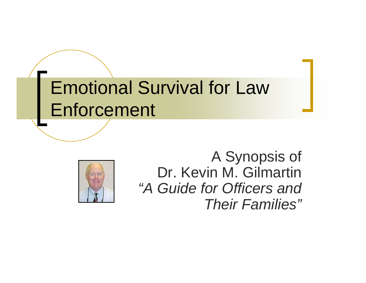### Emotional Survival for Law **Enforcement**



A Synopsis of Dr. Kevin M. Gilmartin *"A Guide for Officers and Their Families"*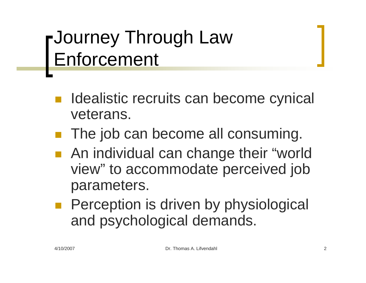### Journey Through Law Enforcement

- Idealistic recruits can become cynical veterans.
- The job can become all consuming.
- ■ An individual can change their "world view" to accommodate perceived job parameters.
- Perception is driven by physiological and psychological demands.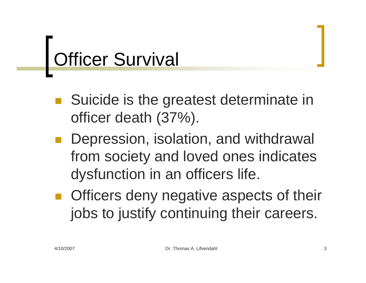# **Officer Survival**

- ■ Suicide is the greatest determinate in officer death (37%).
- Depression, isolation, and withdrawal from society and loved ones indicates dysfunction in an officers life.
- **Officers deny negative aspects of their** jobs to justify continuing their careers.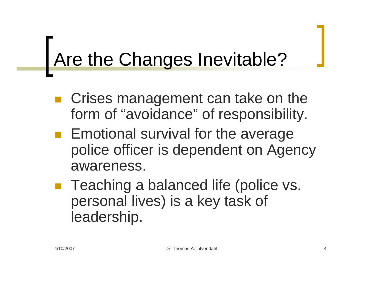## Are the Changes Inevitable?

- Crises management can take on the form of "avoidance" of responsibility.
- **Emotional survival for the average** police officer is dependent on Agency awareness.
- ■ Teaching a balanced life (police vs. personal lives) is a key task of leadership.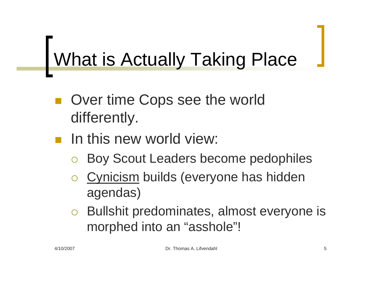## What is Actually Taking Place

- ■ Over time Cops see the world differently.
- **n** In this new world view:
	- ${\color{black} \bigcirc}$ Boy Scout Leaders become pedophiles
	- ${\color{black} \bigcirc}$  Cynicism builds (everyone has hidden agendas)
	- ${\color{blue}\bigcirc}$  Bullshit predominates, almost everyone is morphed into an "asshole"!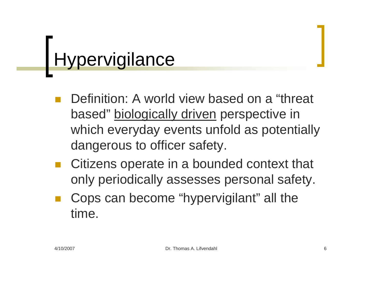## **Hypervigilance**

- Definition: A world view based on a "threat based" biologically driven perspective in which everyday events unfold as potentially dangerous to officer safety.
- Citizens operate in a bounded context that only periodically assesses personal safety.
- Cops can become "hypervigilant" all the time.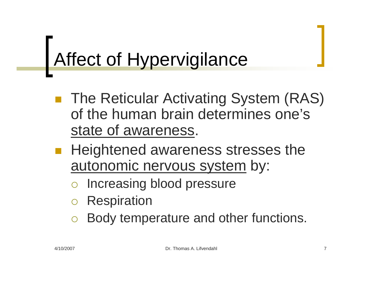### Affect of Hypervigilance

- The Reticular Activating System (RAS) of the human brain determines one's state of awareness.
- Heightened awareness stresses the autonomic nervous system by:
	- ${\color{black} \bigcirc}$ Increasing blood pressure
	- ${\color{black} \bigcirc}$ **Respiration**
	- ${\color{black} \bigcirc}$ Body temperature and other functions.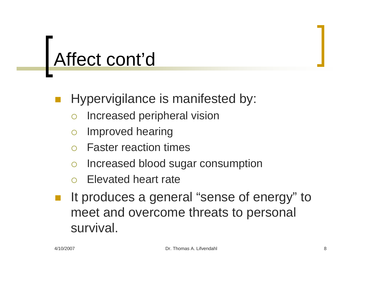#### Hypervigilance is manifested by:

- ${\color{black} \bigcirc}$ Increased peripheral vision
- ${\color{black} \bigcirc}$ Improved hearing
- ${\color{black} \bigcirc}$ Faster reaction times
- $\bigcap$ Increased blood sugar consumption
- ${\color{black} \bigcirc}$ Elevated heart rate
- It produces a general "sense of energy" to meet and overcome threats to personal survival.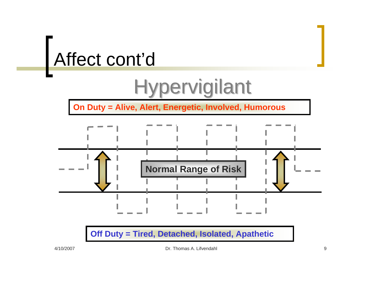### Hypervigilant

**On Duty = Alive, Alert, Energetic, Involved, Humorous**



#### **Off Duty = Tired, Detached, Isolated, Apathetic**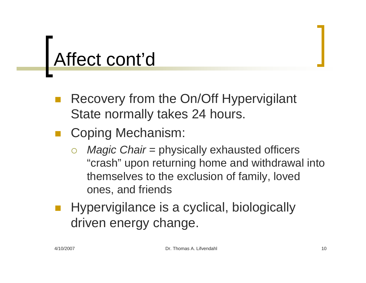- Recovery from the On/Off Hypervigilant State normally takes 24 hours.
- **Service Service**  Coping Mechanism:
	- ${\bigcirc}$  *Magic Chair* = physically exhausted officers "crash" upon returning home and withdrawal into themselves to the exclusion of family, loved ones, and friends
- Hypervigilance is a cyclical, biologically driven energy change.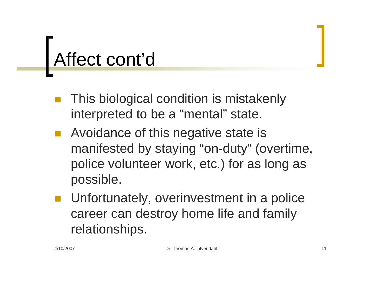- This biological condition is mistakenly interpreted to be a "mental" state.
- **Service Service**  Avoidance of this negative state is manifested by staying "on-duty" (overtime, police volunteer work, etc.) for as long as possible.
- Unfortunately, overinvestment in a police career can destroy home life and family relationships.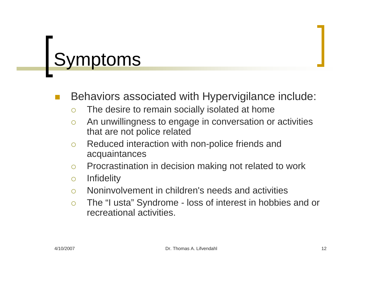## Symptoms

#### Behaviors associated with Hypervigilance include:

- $\bigcirc$ The desire to remain socially isolated at home
- $\Omega$  An unwillingness to engage in conversation or activities that are not police related
- $\bigcap$  Reduced interaction with non-police friends and acquaintances
- $\bigcap$ Procrastination in decision making not related to work
- $\bigcirc$ **Infidelity**
- $\bigcap$ Noninvolvement in children's needs and activities
- ${\circ}$  The "I usta" Syndrome - loss of interest in hobbies and or recreational activities.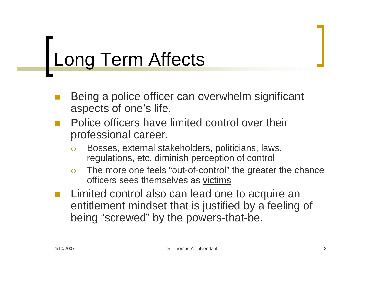## Long Term Affects

- Being a police officer can overwhelm significant aspects of one's life.
- $\mathbb{R}^n$  Police officers have limited control over their professional career.
	- $\bigcap$  Bosses, external stakeholders, politicians, laws, regulations, etc. diminish perception of control
	- $\bigcirc$  The more one feels "out-of-control" the greater the chance officers sees themselves as victims
- $\mathcal{C}^{\mathcal{A}}$  Limited control also can lead one to acquire an entitlement mindset that is justified by a feeling of being "screwed" by the powers-that-be.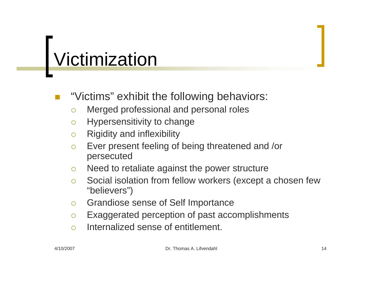# Victimization

#### "Victims" exhibit the following behaviors:

- ${\bigcirc}$ Merged professional and personal roles
- $\bigcap$ Hypersensitivity to change
- $\bigcap$ Rigidity and inflexibility
- $\bigcirc$  Ever present feeling of being threatened and /or persecuted
- $\circ$ Need to retaliate against the power structure
- $\bigcirc$  Social isolation from fellow workers (except a chosen few "believers")
- $\circ$ Grandiose sense of Self Importance
- ${\circ}$ Exaggerated perception of past accomplishments
- $\bigcap$ Internalized sense of entitlement.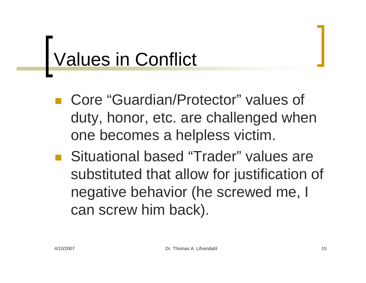### Values in Conflict

- Core "Guardian/Protector" values of duty, honor, etc. are challenged when one becomes a helpless victim.
- Situational based "Trader" values are substituted that allow for justification of negative behavior (he screwed me, I can screw him back).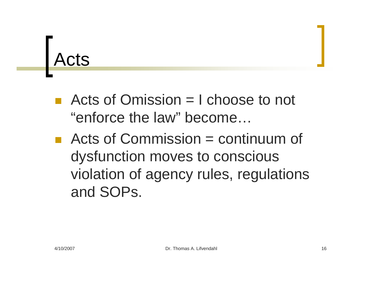## Acts

- Acts of Omission  $=$  I choose to not "enforce the law" become…
- $\blacksquare$  Acts of Commission = continuum of dysfunction moves to conscious violation of agency rules, regulations and SOPs.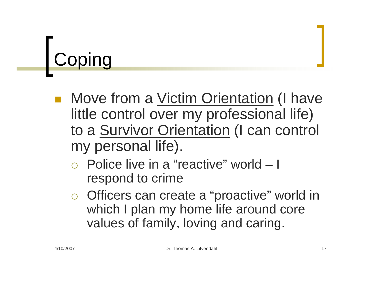# **Coping**

- Move from a Victim Orientation (I have little control over my professional life) to a Survivor Orientation (I can control my personal life).
	- ${\color{black} \bigcirc}$  Police live in a "reactive" world – I respond to crime
	- o Officers can create a "proactive" world in which I plan my home life around core values of family, loving and caring.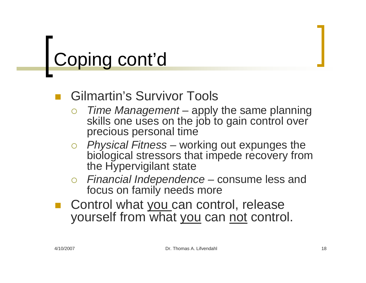# Coping cont'd

#### Gilmartin's Survivor Tools

- ${\bigcirc}$  *Time Management* – apply the same planning skills one uses on the job to gain control over precious personal time
- { *Physical Fitness* working out expunges the biological stressors that impede recovery from the Hypervigilant state
- ${\bigcirc}$  *Financial Independence* – consume less and focus on family needs more
- Control what you can control, release yourself from what you can not control.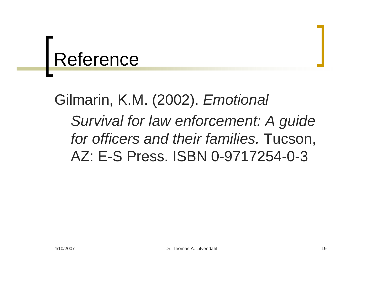### Reference

### Gilmarin, K.M. (2002). *Emotional Survival for law enforcement: A guide for officers and their families.* Tucson, AZ: E-S Press. ISBN 0-9717254-0-3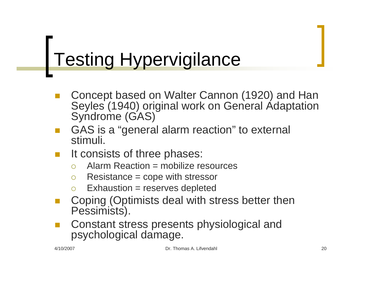### Testing Hypervigilance

- Concept based on Walter Cannon (1920) and Han Seyles (1940) original work on General Adaptation Syndrome (GAS)
- $\mathbb{R}^n$  GAS is a "general alarm reaction" to external stimuli.
- $\mathbb{R}^n$  It consists of three phases:
	- ${\color{black} \bigcirc}$ Alarm Reaction = mobilize resources
	- $\bigcirc$ Resistance = cope with stressor
	- ${\color{black} \bigcirc}$ Exhaustion = reserves depleted
- Coping (Optimists deal with stress better then Pessimists).
- Constant stress presents physiological and psychological damage.